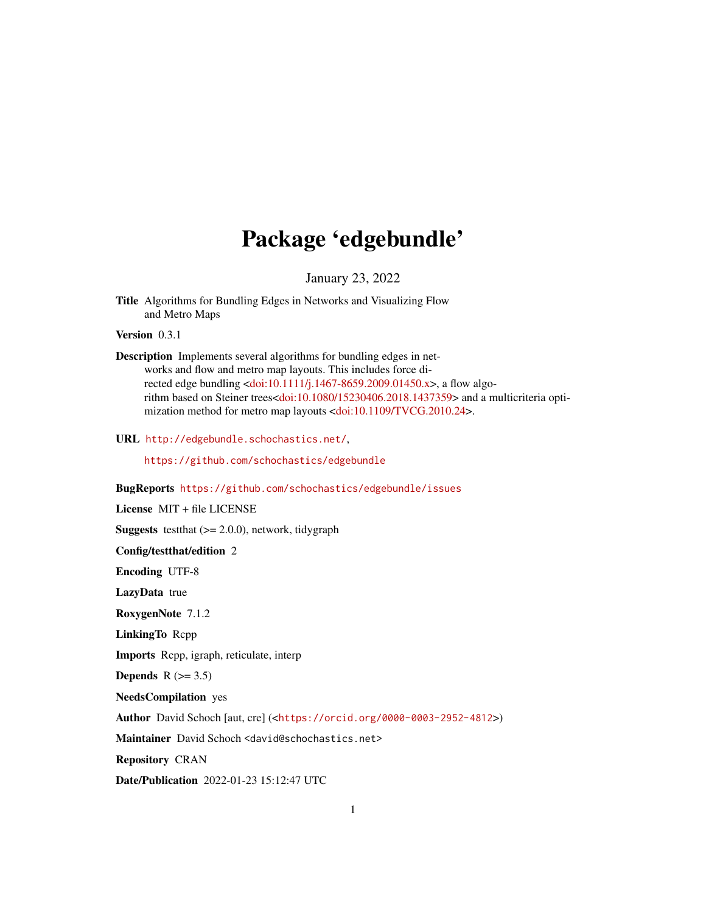# Package 'edgebundle'

January 23, 2022

Title Algorithms for Bundling Edges in Networks and Visualizing Flow and Metro Maps

Version 0.3.1

Description Implements several algorithms for bundling edges in networks and flow and metro map layouts. This includes force directed edge bundling [<doi:10.1111/j.1467-8659.2009.01450.x>](https://doi.org/10.1111/j.1467-8659.2009.01450.x), a flow algorithm based on Steiner trees[<doi:10.1080/15230406.2018.1437359>](https://doi.org/10.1080/15230406.2018.1437359) and a multicriteria optimization method for metro map layouts [<doi:10.1109/TVCG.2010.24>](https://doi.org/10.1109/TVCG.2010.24).

URL <http://edgebundle.schochastics.net/>,

<https://github.com/schochastics/edgebundle>

# BugReports <https://github.com/schochastics/edgebundle/issues>

License MIT + file LICENSE

**Suggests** test that  $(>= 2.0.0)$ , network, tidygraph

Config/testthat/edition 2

Encoding UTF-8

LazyData true

RoxygenNote 7.1.2

LinkingTo Rcpp

Imports Rcpp, igraph, reticulate, interp

Depends  $R$  ( $>= 3.5$ )

NeedsCompilation yes

Author David Schoch [aut, cre] (<<https://orcid.org/0000-0003-2952-4812>>)

Maintainer David Schoch <david@schochastics.net>

Repository CRAN

Date/Publication 2022-01-23 15:12:47 UTC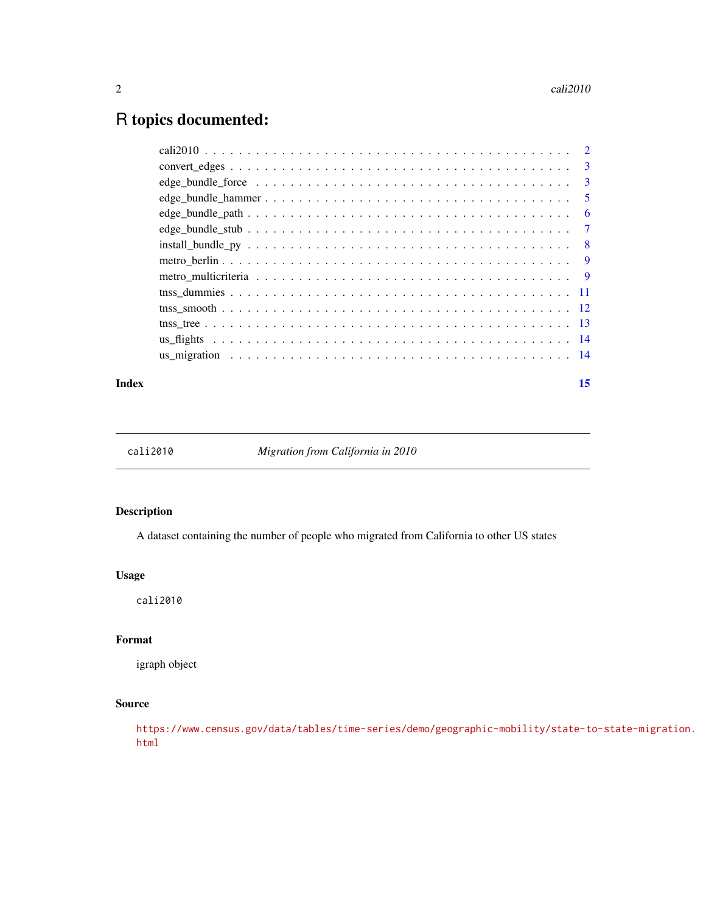# <span id="page-1-0"></span>R topics documented:

|  | $\overline{\phantom{a}}$ |
|--|--------------------------|
|  |                          |
|  |                          |
|  |                          |
|  |                          |
|  |                          |
|  |                          |
|  |                          |
|  |                          |
|  |                          |
|  |                          |
|  |                          |
|  |                          |

### **Index** [15](#page-14-0)

cali2010 *Migration from California in 2010*

# Description

A dataset containing the number of people who migrated from California to other US states

### Usage

cali2010

# Format

igraph object

# Source

[https://www.census.gov/data/tables/time-series/demo/geographic-mobility/state-t](https://www.census.gov/data/tables/time-series/demo/geographic-mobility/state-to-state-migration.html)o-state-migration. [html](https://www.census.gov/data/tables/time-series/demo/geographic-mobility/state-to-state-migration.html)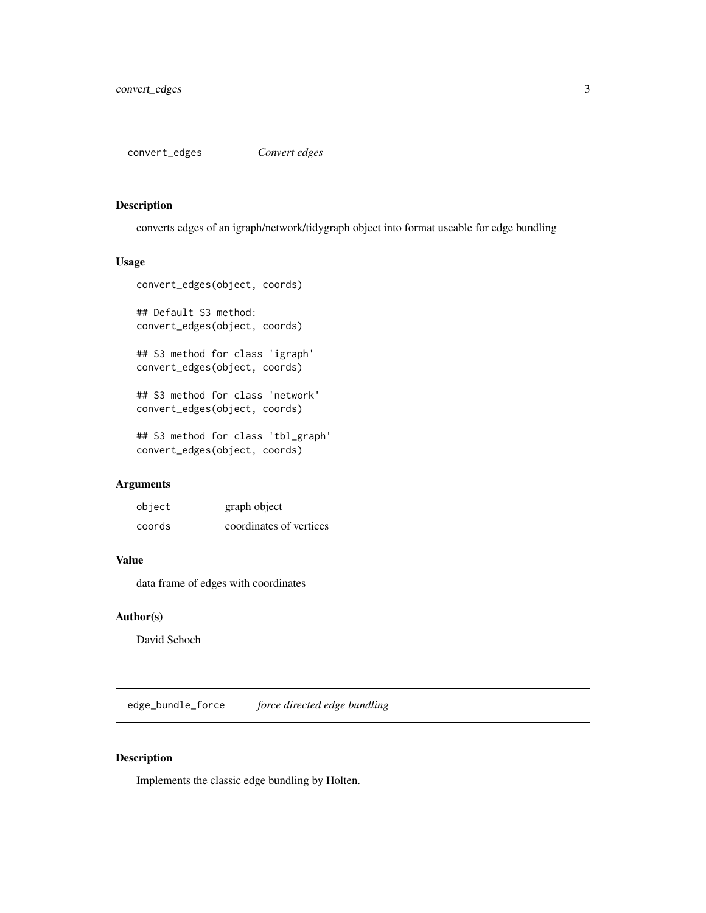<span id="page-2-0"></span>convert\_edges *Convert edges*

# Description

converts edges of an igraph/network/tidygraph object into format useable for edge bundling

### Usage

```
convert_edges(object, coords)
## Default S3 method:
convert_edges(object, coords)
## S3 method for class 'igraph'
convert_edges(object, coords)
## S3 method for class 'network'
convert_edges(object, coords)
## S3 method for class 'tbl_graph'
convert_edges(object, coords)
```
# Arguments

| object | graph object            |
|--------|-------------------------|
| coords | coordinates of vertices |

### Value

data frame of edges with coordinates

# Author(s)

David Schoch

<span id="page-2-1"></span>edge\_bundle\_force *force directed edge bundling*

# Description

Implements the classic edge bundling by Holten.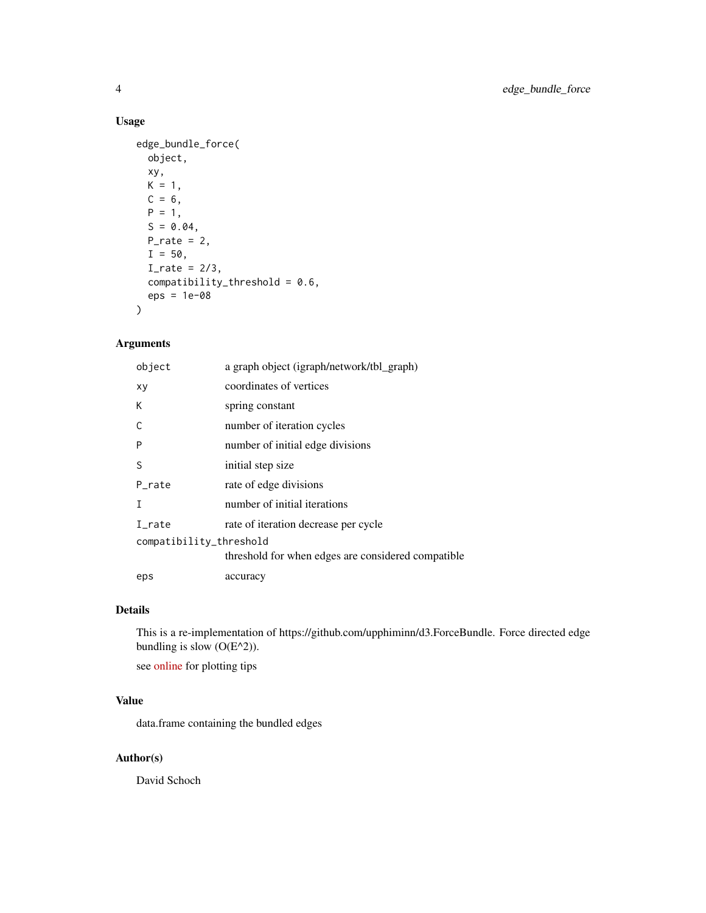# Usage

```
edge_bundle_force(
  object,
  xy,
  K = 1,
  C = 6,
  P = 1,S = 0.04,
  P_{\text{rate}} = 2,
  I = 50,
  I_rate = 2/3,
  compatibility_threshold = 0.6,
  eps = 1e-08
\mathcal{L}
```
# Arguments

| object                  | a graph object (igraph/network/tbl_graph)          |  |
|-------------------------|----------------------------------------------------|--|
| хy                      | coordinates of vertices                            |  |
| К                       | spring constant                                    |  |
| C                       | number of iteration cycles                         |  |
| P                       | number of initial edge divisions                   |  |
| S                       | initial step size                                  |  |
| P rate                  | rate of edge divisions                             |  |
| Т                       | number of initial iterations                       |  |
| I_rate                  | rate of iteration decrease per cycle               |  |
| compatibility_threshold |                                                    |  |
|                         | threshold for when edges are considered compatible |  |
| eps                     | accuracy                                           |  |

# Details

This is a re-implementation of https://github.com/upphiminn/d3.ForceBundle. Force directed edge bundling is slow  $(O(E^2))$ .

see [online](https://github.com/schochastics/edgebundle) for plotting tips

# Value

data.frame containing the bundled edges

# Author(s)

David Schoch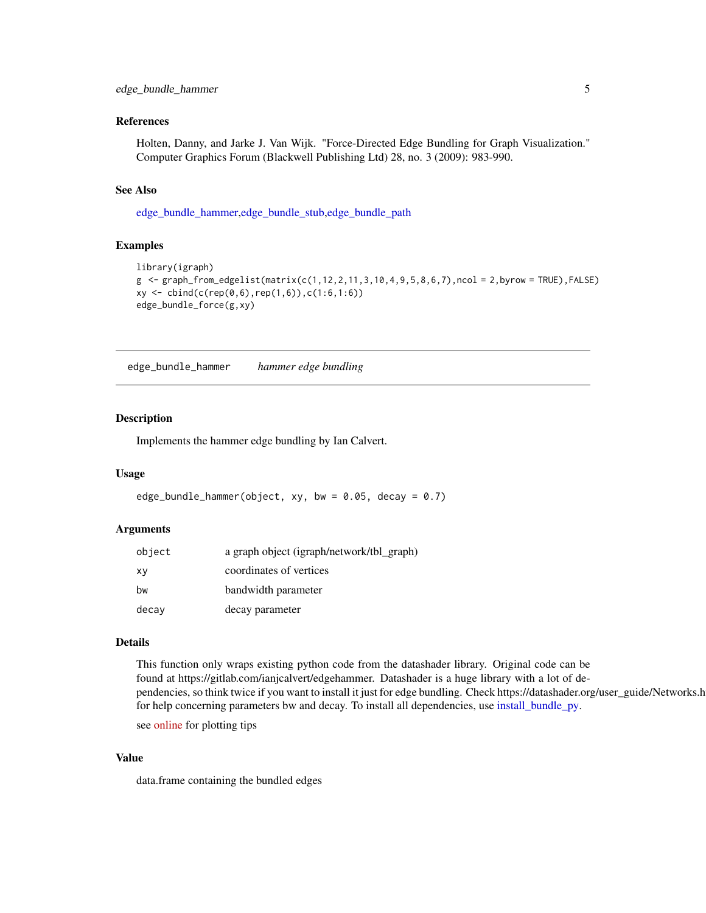### <span id="page-4-0"></span>References

Holten, Danny, and Jarke J. Van Wijk. "Force-Directed Edge Bundling for Graph Visualization." Computer Graphics Forum (Blackwell Publishing Ltd) 28, no. 3 (2009): 983-990.

### See Also

[edge\\_bundle\\_hammer,](#page-4-1)[edge\\_bundle\\_stub](#page-6-1)[,edge\\_bundle\\_path](#page-5-1)

### Examples

```
library(igraph)
g <- graph_from_edgelist(matrix(c(1,12,2,11,3,10,4,9,5,8,6,7),ncol = 2,byrow = TRUE), FALSE)
xy \leftarrow \text{cbind}(c(\text{rep}(0,6),\text{rep}(1,6)),c(1:6,1:6))edge_bundle_force(g,xy)
```
<span id="page-4-1"></span>edge\_bundle\_hammer *hammer edge bundling*

# Description

Implements the hammer edge bundling by Ian Calvert.

### Usage

```
edge_bundle_hammer(object, xy, bw = 0.05, decay = 0.7)
```
### Arguments

| object | a graph object (igraph/network/tbl_graph) |
|--------|-------------------------------------------|
| хy     | coordinates of vertices                   |
| bw     | bandwidth parameter                       |
| decay  | decay parameter                           |

# Details

This function only wraps existing python code from the datashader library. Original code can be found at https://gitlab.com/ianjcalvert/edgehammer. Datashader is a huge library with a lot of dependencies, so think twice if you want to install it just for edge bundling. Check https://datashader.org/user\_guide/Networks.html for help concerning parameters bw and decay. To install all dependencies, use [install\\_bundle\\_py.](#page-7-1)

see [online](https://github.com/schochastics/edgebundle) for plotting tips

### Value

data.frame containing the bundled edges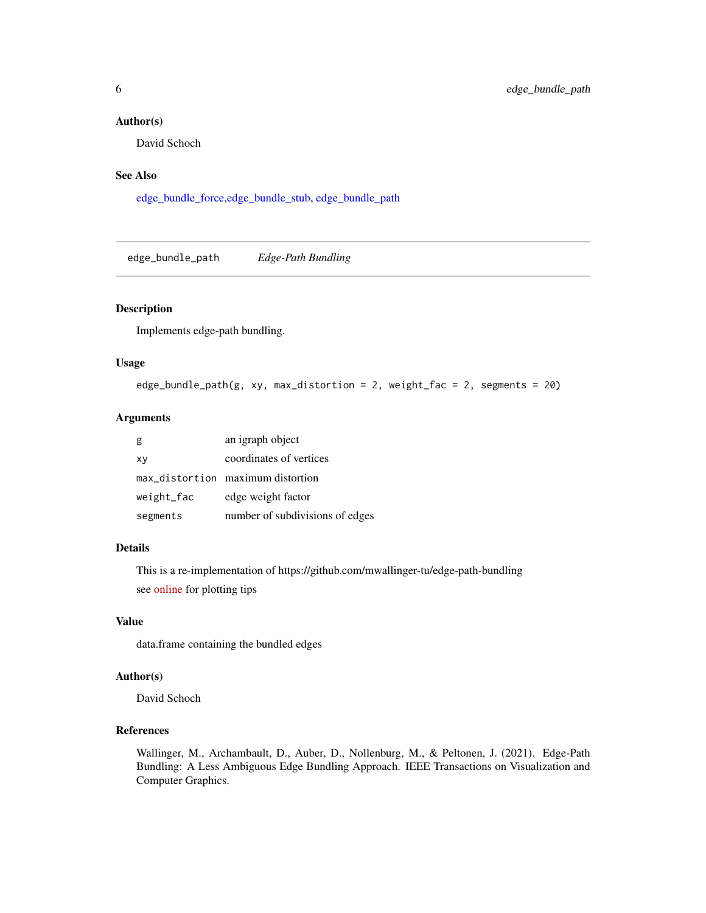### <span id="page-5-0"></span>Author(s)

David Schoch

# See Also

[edge\\_bundle\\_force](#page-2-1)[,edge\\_bundle\\_stub,](#page-6-1) [edge\\_bundle\\_path](#page-5-1)

<span id="page-5-1"></span>edge\_bundle\_path *Edge-Path Bundling*

### Description

Implements edge-path bundling.

# Usage

```
edge_bundle_path(g, xy, max_distortion = 2, weight_fac = 2, segments = 20)
```
# Arguments

| g          | an igraph object                  |
|------------|-----------------------------------|
| xy         | coordinates of vertices           |
|            | max_distortion maximum distortion |
| weight_fac | edge weight factor                |
| segments   | number of subdivisions of edges   |

### Details

This is a re-implementation of https://github.com/mwallinger-tu/edge-path-bundling see [online](https://github.com/schochastics/edgebundle) for plotting tips

### Value

data.frame containing the bundled edges

### Author(s)

David Schoch

### References

Wallinger, M., Archambault, D., Auber, D., Nollenburg, M., & Peltonen, J. (2021). Edge-Path Bundling: A Less Ambiguous Edge Bundling Approach. IEEE Transactions on Visualization and Computer Graphics.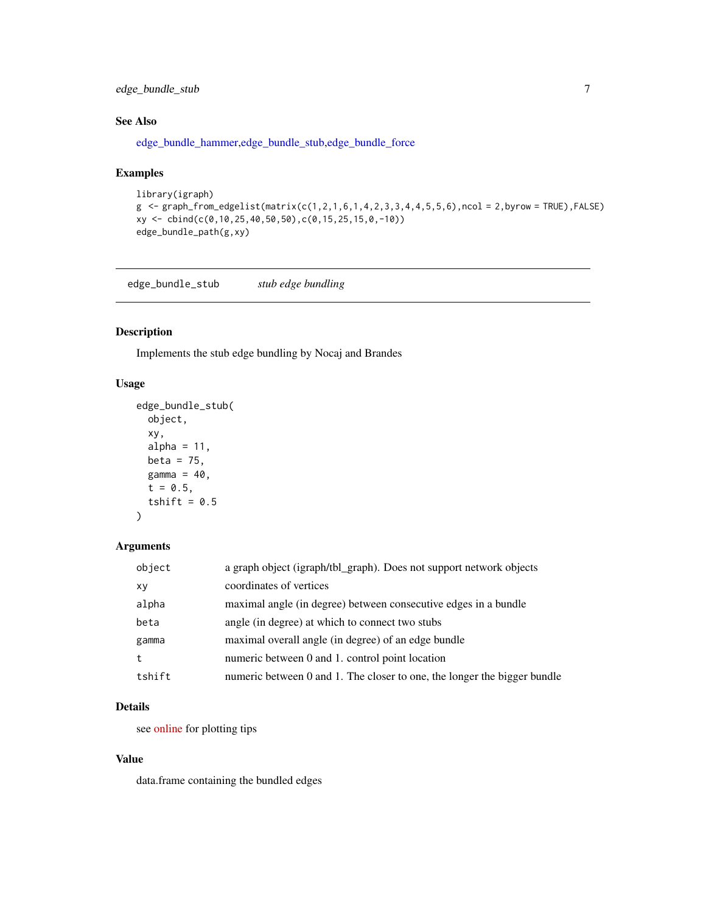# <span id="page-6-0"></span>edge\_bundle\_stub 7

# See Also

[edge\\_bundle\\_hammer,](#page-4-1)[edge\\_bundle\\_stub](#page-6-1)[,edge\\_bundle\\_force](#page-2-1)

### Examples

```
library(igraph)
g \leq g samples from edgelist (matrix(c(1,2,1,6,1,4,2,3,3,4,4,5,5,6),ncol = 2,byrow = TRUE), FALSE)
xy <- cbind(c(0,10,25,40,50,50),c(0,15,25,15,0,-10))
edge_bundle_path(g,xy)
```
<span id="page-6-1"></span>edge\_bundle\_stub *stub edge bundling*

# Description

Implements the stub edge bundling by Nocaj and Brandes

### Usage

```
edge_bundle_stub(
  object,
 xy,
  alpha = 11,
 beta = 75,
 gamma = 40,
  t = 0.5,
  tshift = 0.5)
```
# Arguments

| object    | a graph object (igraph/tbl_graph). Does not support network objects      |
|-----------|--------------------------------------------------------------------------|
| <b>XV</b> | coordinates of vertices                                                  |
| alpha     | maximal angle (in degree) between consecutive edges in a bundle          |
| beta      | angle (in degree) at which to connect two stubs                          |
| gamma     | maximal overall angle (in degree) of an edge bundle                      |
| t         | numeric between 0 and 1, control point location                          |
| tshift    | numeric between 0 and 1. The closer to one, the longer the bigger bundle |

# Details

see [online](https://github.com/schochastics/edgebundle) for plotting tips

### Value

data.frame containing the bundled edges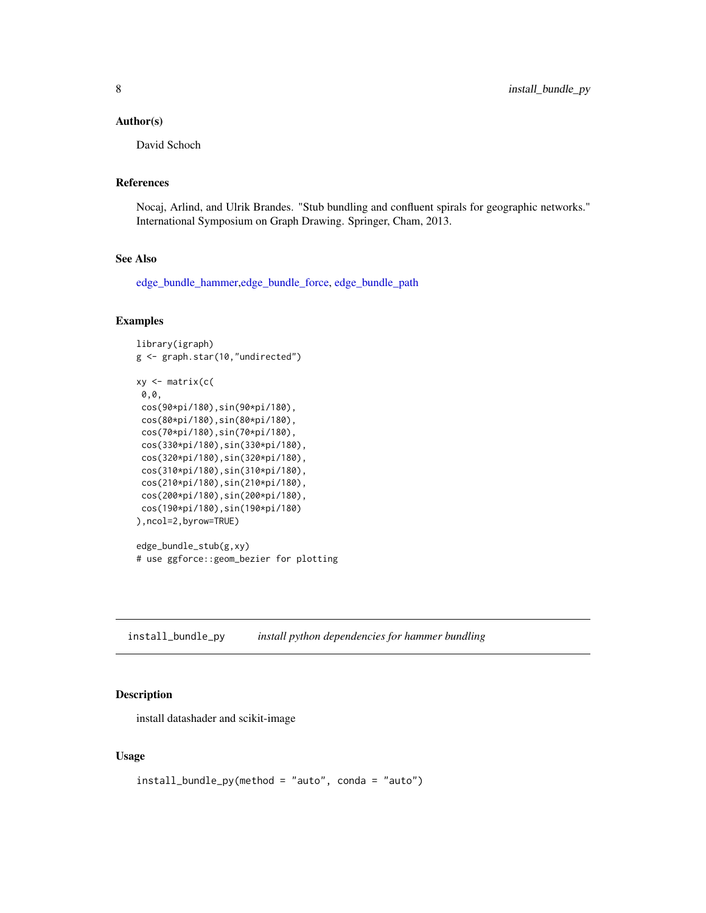### <span id="page-7-0"></span>Author(s)

David Schoch

### References

Nocaj, Arlind, and Ulrik Brandes. "Stub bundling and confluent spirals for geographic networks." International Symposium on Graph Drawing. Springer, Cham, 2013.

### See Also

[edge\\_bundle\\_hammer,](#page-4-1)[edge\\_bundle\\_force,](#page-2-1) [edge\\_bundle\\_path](#page-5-1)

### Examples

```
library(igraph)
g <- graph.star(10,"undirected")
xy <- matrix(c(
0,0,
cos(90*pi/180),sin(90*pi/180),
cos(80*pi/180),sin(80*pi/180),
cos(70*pi/180),sin(70*pi/180),
cos(330*pi/180),sin(330*pi/180),
cos(320*pi/180),sin(320*pi/180),
cos(310*pi/180),sin(310*pi/180),
cos(210*pi/180),sin(210*pi/180),
cos(200*pi/180),sin(200*pi/180),
cos(190*pi/180),sin(190*pi/180)
),ncol=2,byrow=TRUE)
edge_bundle_stub(g,xy)
# use ggforce::geom_bezier for plotting
```
<span id="page-7-1"></span>install\_bundle\_py *install python dependencies for hammer bundling*

### Description

install datashader and scikit-image

### Usage

```
install_bundle_py(method = "auto", conda = "auto")
```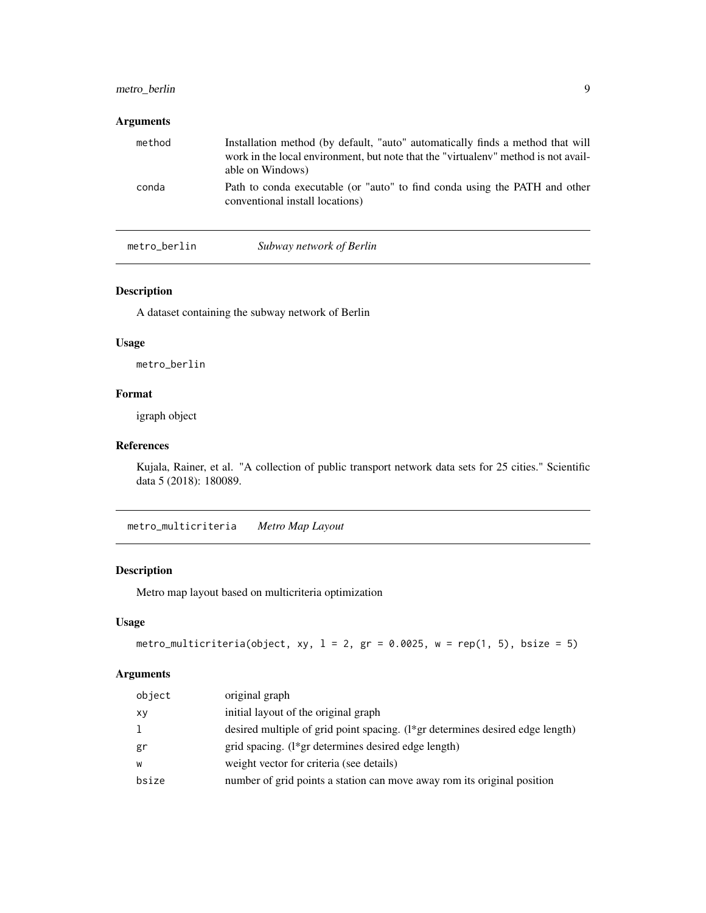# <span id="page-8-0"></span>metro\_berlin 9

### Arguments

| method | Installation method (by default, "auto" automatically finds a method that will<br>work in the local environment, but note that the "virtual env" method is not avail-<br>able on Windows) |
|--------|-------------------------------------------------------------------------------------------------------------------------------------------------------------------------------------------|
| conda  | Path to conda executable (or "auto" to find conda using the PATH and other<br>conventional install locations)                                                                             |

# metro\_berlin *Subway network of Berlin*

# Description

A dataset containing the subway network of Berlin

### Usage

metro\_berlin

# Format

igraph object

# References

Kujala, Rainer, et al. "A collection of public transport network data sets for 25 cities." Scientific data 5 (2018): 180089.

metro\_multicriteria *Metro Map Layout*

# Description

Metro map layout based on multicriteria optimization

### Usage

```
metro_multicriteria(object, xy, l = 2, gr = 0.0025, w = rep(1, 5), bsize = 5)
```
# Arguments

| object | original graph                                                                |
|--------|-------------------------------------------------------------------------------|
| xv     | initial layout of the original graph                                          |
|        | desired multiple of grid point spacing. (1*gr determines desired edge length) |
| gr     | grid spacing. (1*gr determines desired edge length)                           |
| W      | weight vector for criteria (see details)                                      |
| bsize  | number of grid points a station can move away rom its original position       |
|        |                                                                               |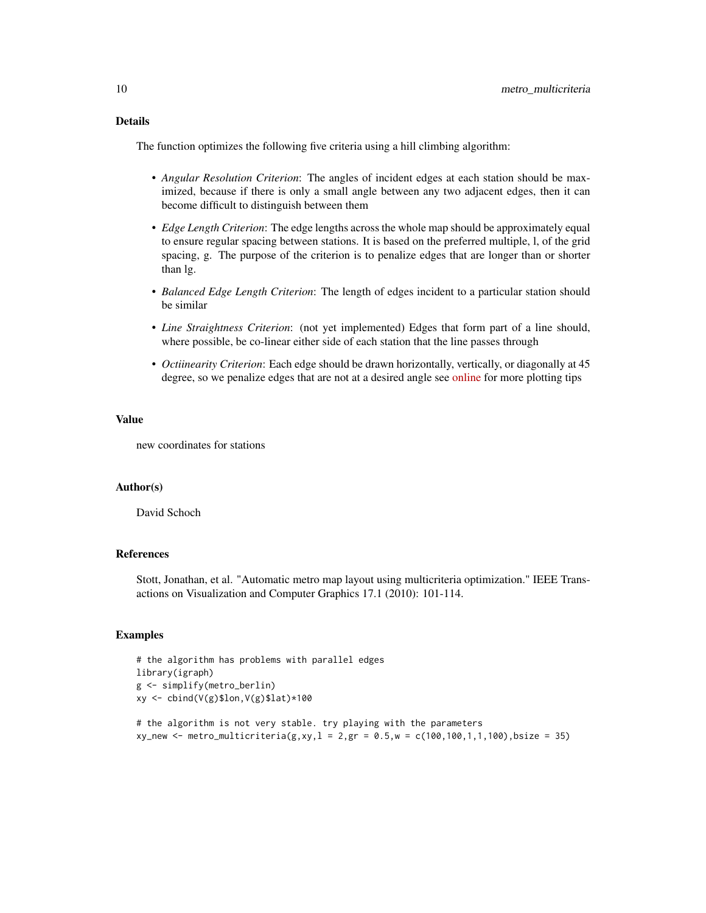# Details

The function optimizes the following five criteria using a hill climbing algorithm:

- *Angular Resolution Criterion*: The angles of incident edges at each station should be maximized, because if there is only a small angle between any two adjacent edges, then it can become difficult to distinguish between them
- *Edge Length Criterion*: The edge lengths across the whole map should be approximately equal to ensure regular spacing between stations. It is based on the preferred multiple, l, of the grid spacing, g. The purpose of the criterion is to penalize edges that are longer than or shorter than lg.
- *Balanced Edge Length Criterion*: The length of edges incident to a particular station should be similar
- *Line Straightness Criterion*: (not yet implemented) Edges that form part of a line should, where possible, be co-linear either side of each station that the line passes through
- *Octiinearity Criterion*: Each edge should be drawn horizontally, vertically, or diagonally at 45 degree, so we penalize edges that are not at a desired angle see [online](https://github.com/schochastics/edgebundle) for more plotting tips

### Value

new coordinates for stations

# Author(s)

David Schoch

### References

Stott, Jonathan, et al. "Automatic metro map layout using multicriteria optimization." IEEE Transactions on Visualization and Computer Graphics 17.1 (2010): 101-114.

### Examples

```
# the algorithm has problems with parallel edges
library(igraph)
g <- simplify(metro_berlin)
xy <- cbind(V(g)$lon,V(g)$lat)*100
```

```
# the algorithm is not very stable. try playing with the parameters
xy_new <- metro_multicriteria(g,xy,l = 2,gr = 0.5,w = c(100,100,1,1,100),bsize = 35)
```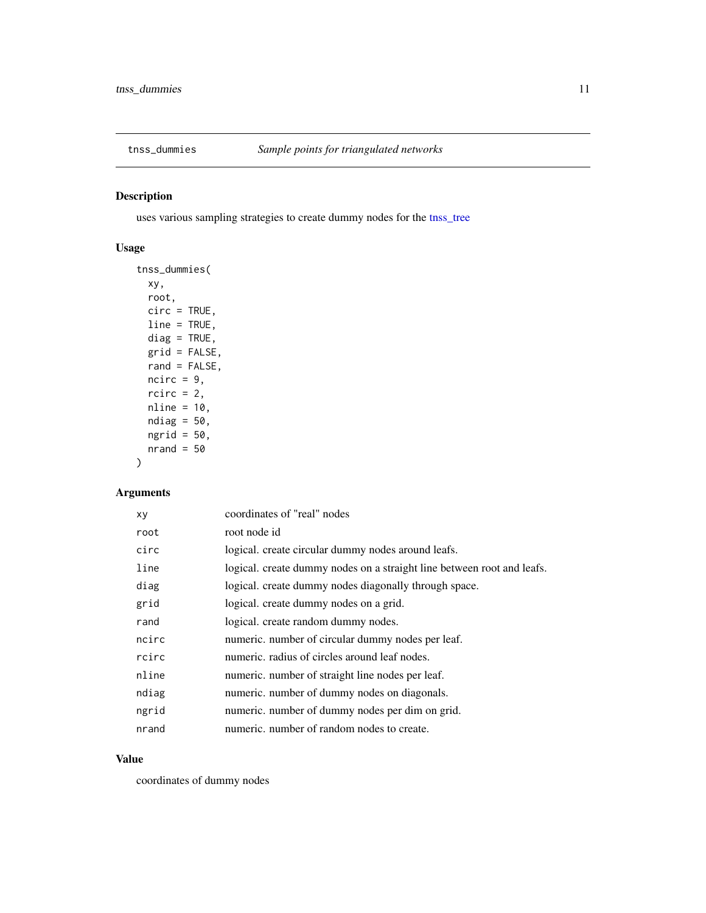<span id="page-10-0"></span>

# Description

uses various sampling strategies to create dummy nodes for the [tnss\\_tree](#page-12-1)

# Usage

```
tnss_dummies(
 xy,
 root,
 circ = TRUE,
 line = TRUE,
 diag = TRUE,
 grid = FALSE,
 rand = FALSE,
 ncirc = 9,
 rcirc = 2,
 nline = 10,
 ndiag = 50,
 ngrid = 50,
 nrand = 50)
```
# Arguments

| xy    | coordinates of "real" nodes                                            |
|-------|------------------------------------------------------------------------|
| root  | root node id                                                           |
| circ  | logical. create circular dummy nodes around leafs.                     |
| line  | logical. create dummy nodes on a straight line between root and leafs. |
| diag  | logical. create dummy nodes diagonally through space.                  |
| grid  | logical. create dummy nodes on a grid.                                 |
| rand  | logical, create random dummy nodes.                                    |
| ncirc | numeric. number of circular dummy nodes per leaf.                      |
| rcirc | numeric, radius of circles around leaf nodes.                          |
| nline | numeric. number of straight line nodes per leaf.                       |
| ndiag | numeric. number of dummy nodes on diagonals.                           |
| ngrid | numeric. number of dummy nodes per dim on grid.                        |
| nrand | numeric, number of random nodes to create.                             |
|       |                                                                        |

### Value

coordinates of dummy nodes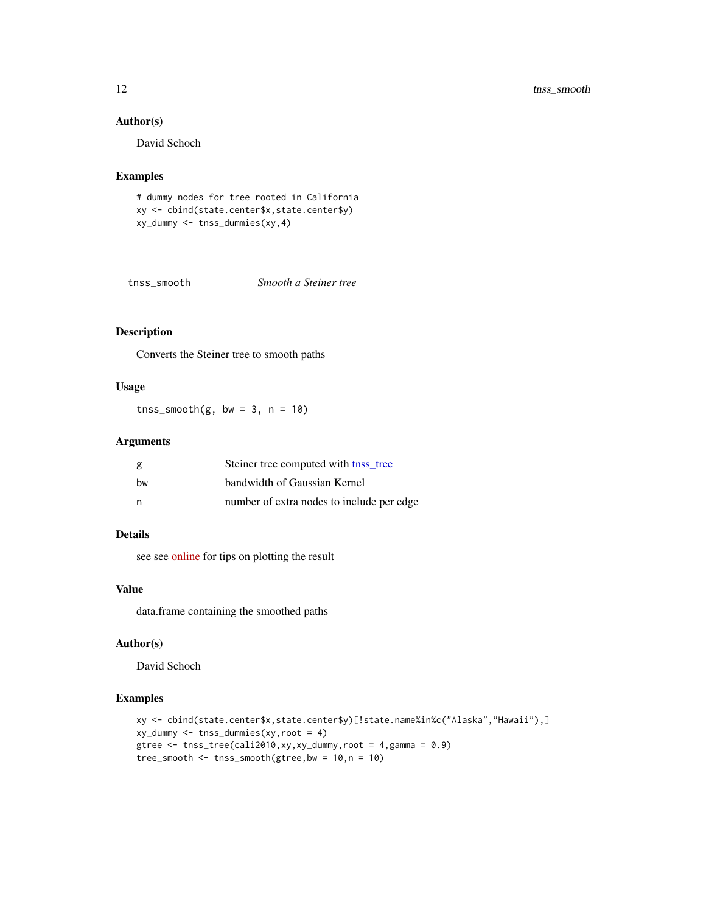<span id="page-11-0"></span>12 tnss\_smooth

### Author(s)

David Schoch

### Examples

```
# dummy nodes for tree rooted in California
xy <- cbind(state.center$x,state.center$y)
xy_dummy <- tnss_dummies(xy,4)
```
<span id="page-11-1"></span>

tnss\_smooth *Smooth a Steiner tree*

# Description

Converts the Steiner tree to smooth paths

# Usage

tnss\_smooth(g, bw =  $3$ , n =  $10$ )

### Arguments

| g  | Steiner tree computed with the tree       |
|----|-------------------------------------------|
| hw | bandwidth of Gaussian Kernel              |
| n  | number of extra nodes to include per edge |

# Details

see see [online](https://github.com/schochastics/edgebundle) for tips on plotting the result

# Value

data.frame containing the smoothed paths

# Author(s)

David Schoch

# Examples

```
xy <- cbind(state.center$x,state.center$y)[!state.name%in%c("Alaska","Hawaii"),]
xy_dummy <- tnss_dummies(xy,root = 4)
gtree \le tnss_tree(cali2010,xy,xy_dummy,root = 4,gamma = 0.9)
tree_smooth \leq tnss_smooth(gtree, bw = 10, n = 10)
```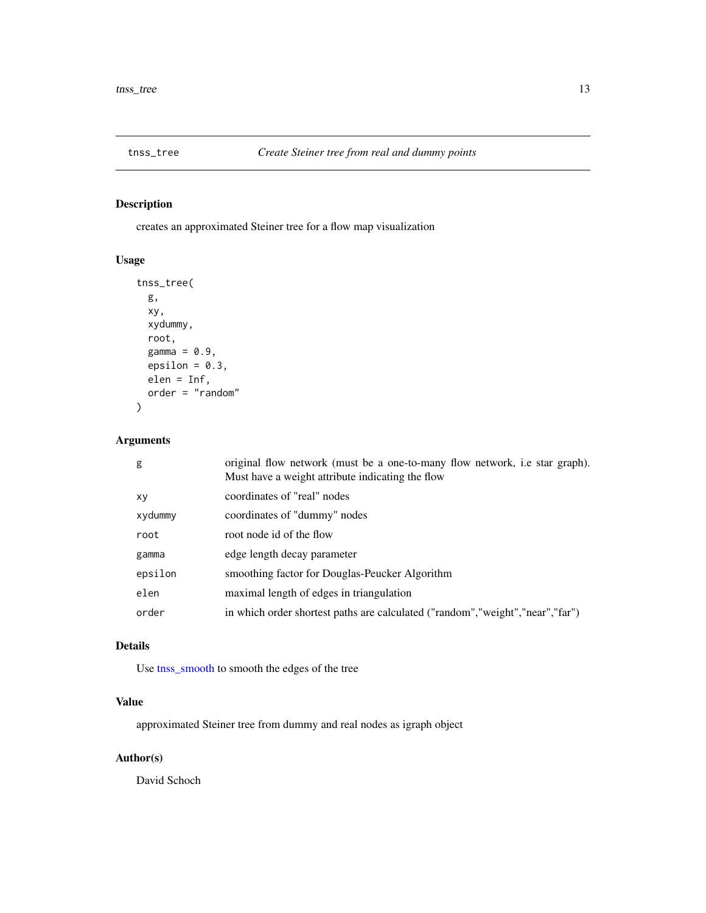<span id="page-12-1"></span><span id="page-12-0"></span>

# Description

creates an approximated Steiner tree for a flow map visualization

# Usage

```
tnss_tree(
  g,
  xy,
  xydummy,
  root,
  gamma = 0.9,
  epsilon = 0.3,
  elen = Inf,
  order = "random"
\mathcal{L}
```
# Arguments

| g       | original flow network (must be a one-to-many flow network, i.e star graph).<br>Must have a weight attribute indicating the flow |
|---------|---------------------------------------------------------------------------------------------------------------------------------|
| XV      | coordinates of "real" nodes                                                                                                     |
| xydummy | coordinates of "dummy" nodes                                                                                                    |
| root    | root node id of the flow                                                                                                        |
| gamma   | edge length decay parameter                                                                                                     |
| epsilon | smoothing factor for Douglas-Peucker Algorithm                                                                                  |
| elen    | maximal length of edges in triangulation                                                                                        |
| order   | in which order shortest paths are calculated ("random","weight","near","far")                                                   |

# Details

Use [tnss\\_smooth](#page-11-1) to smooth the edges of the tree

# Value

approximated Steiner tree from dummy and real nodes as igraph object

# Author(s)

David Schoch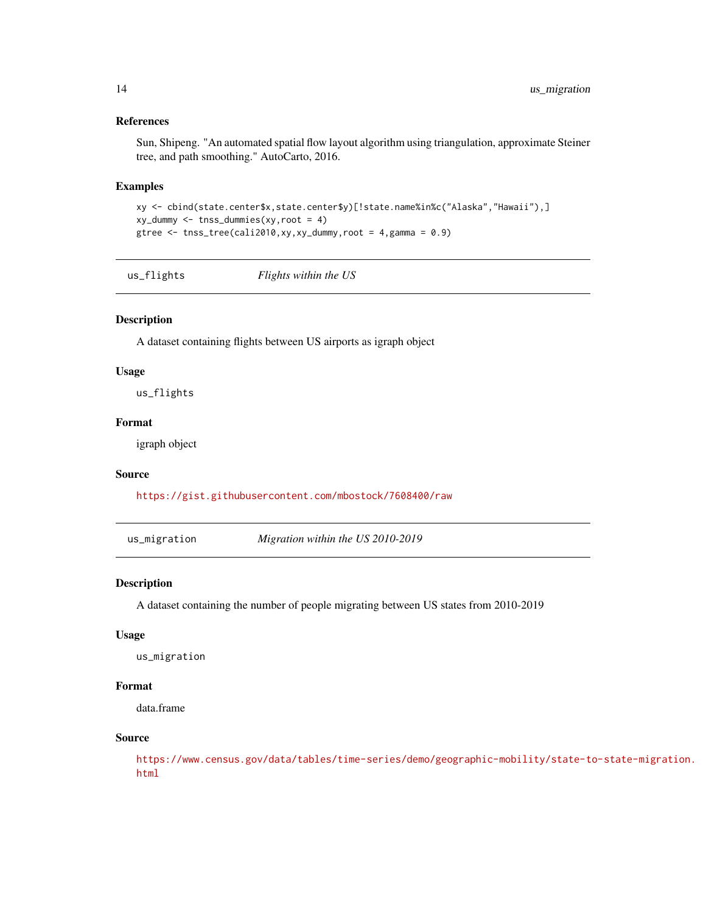### References

Sun, Shipeng. "An automated spatial flow layout algorithm using triangulation, approximate Steiner tree, and path smoothing." AutoCarto, 2016.

### Examples

```
xy <- cbind(state.center$x,state.center$y)[!state.name%in%c("Alaska","Hawaii"),]
xy_dummy <- tnss_dummies(xy,root = 4)
gtree <- tnss_tree(cali2010,xy,xy_dummy,root = 4,gamma = 0.9)
```
us\_flights *Flights within the US*

### Description

A dataset containing flights between US airports as igraph object

### Usage

us\_flights

### Format

igraph object

### Source

<https://gist.githubusercontent.com/mbostock/7608400/raw>

us\_migration *Migration within the US 2010-2019*

### Description

A dataset containing the number of people migrating between US states from 2010-2019

### Usage

us\_migration

# Format

data.frame

## Source

[https://www.census.gov/data/tables/time-series/demo/geographic-mobility/state-t](https://www.census.gov/data/tables/time-series/demo/geographic-mobility/state-to-state-migration.html)o-state-migration. [html](https://www.census.gov/data/tables/time-series/demo/geographic-mobility/state-to-state-migration.html)

<span id="page-13-0"></span>